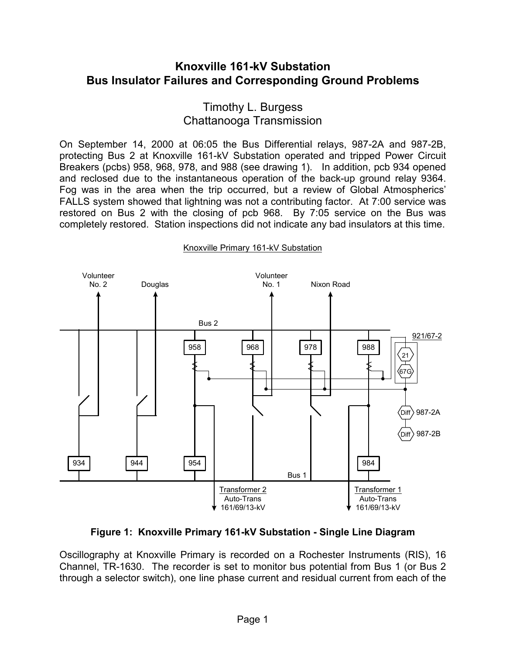# **Knoxville 161-kV Substation Bus Insulator Failures and Corresponding Ground Problems**

## Timothy L. Burgess Chattanooga Transmission

On September 14, 2000 at 06:05 the Bus Differential relays, 987-2A and 987-2B, protecting Bus 2 at Knoxville 161-kV Substation operated and tripped Power Circuit Breakers (pcbs) 958, 968, 978, and 988 (see drawing 1). In addition, pcb 934 opened and reclosed due to the instantaneous operation of the back-up ground relay 9364. Fog was in the area when the trip occurred, but a review of Global Atmospherics' FALLS system showed that lightning was not a contributing factor. At 7:00 service was restored on Bus 2 with the closing of pcb 968. By 7:05 service on the Bus was completely restored. Station inspections did not indicate any bad insulators at this time.



#### Knoxville Primary 161-kV Substation

**Figure 1: Knoxville Primary 161-kV Substation - Single Line Diagram** 

Oscillography at Knoxville Primary is recorded on a Rochester Instruments (RIS), 16 Channel, TR-1630. The recorder is set to monitor bus potential from Bus 1 (or Bus 2 through a selector switch), one line phase current and residual current from each of the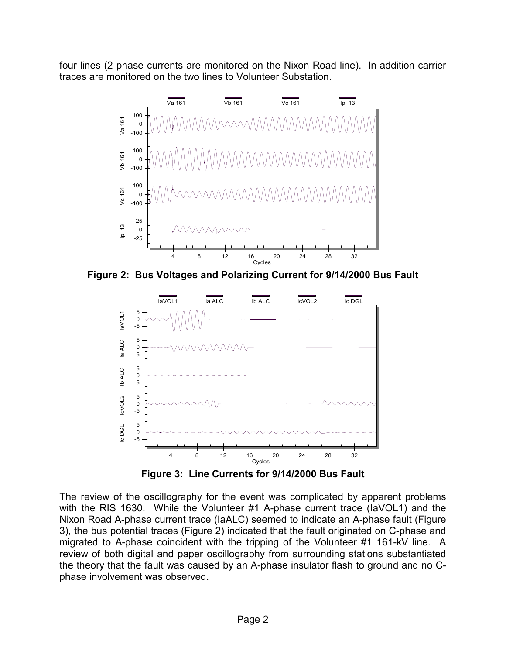four lines (2 phase currents are monitored on the Nixon Road line). In addition carrier traces are monitored on the two lines to Volunteer Substation.



**Figure 2: Bus Voltages and Polarizing Current for 9/14/2000 Bus Fault** 



**Figure 3: Line Currents for 9/14/2000 Bus Fault** 

The review of the oscillography for the event was complicated by apparent problems with the RIS 1630. While the Volunteer #1 A-phase current trace (IaVOL1) and the Nixon Road A-phase current trace (IaALC) seemed to indicate an A-phase fault (Figure 3), the bus potential traces (Figure 2) indicated that the fault originated on C-phase and migrated to A-phase coincident with the tripping of the Volunteer #1 161-kV line. A review of both digital and paper oscillography from surrounding stations substantiated the theory that the fault was caused by an A-phase insulator flash to ground and no Cphase involvement was observed.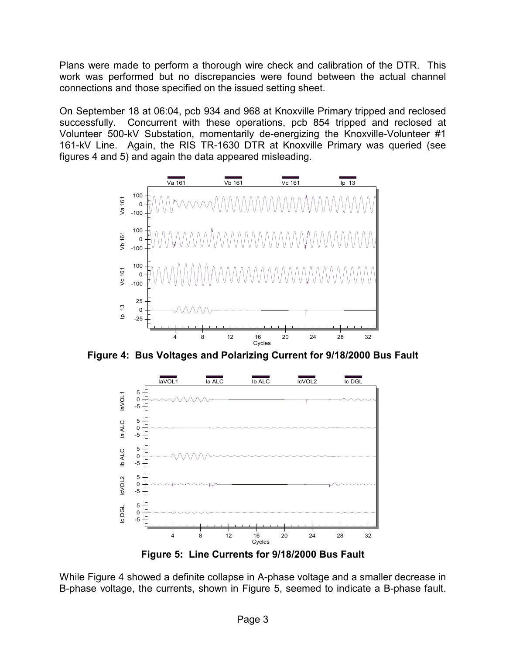Plans were made to perform a thorough wire check and calibration of the DTR. This work was performed but no discrepancies were found between the actual channel connections and those specified on the issued setting sheet.

On September 18 at 06:04, pcb 934 and 968 at Knoxville Primary tripped and reclosed successfully. Concurrent with these operations, pcb 854 tripped and reclosed at Volunteer 500-kV Substation, momentarily de-energizing the Knoxville-Volunteer #1 161-kV Line. Again, the RIS TR-1630 DTR at Knoxville Primary was queried (see figures 4 and 5) and again the data appeared misleading.



**Figure 4: Bus Voltages and Polarizing Current for 9/18/2000 Bus Fault** 



**Figure 5: Line Currents for 9/18/2000 Bus Fault** 

While Figure 4 showed a definite collapse in A-phase voltage and a smaller decrease in B-phase voltage, the currents, shown in Figure 5, seemed to indicate a B-phase fault.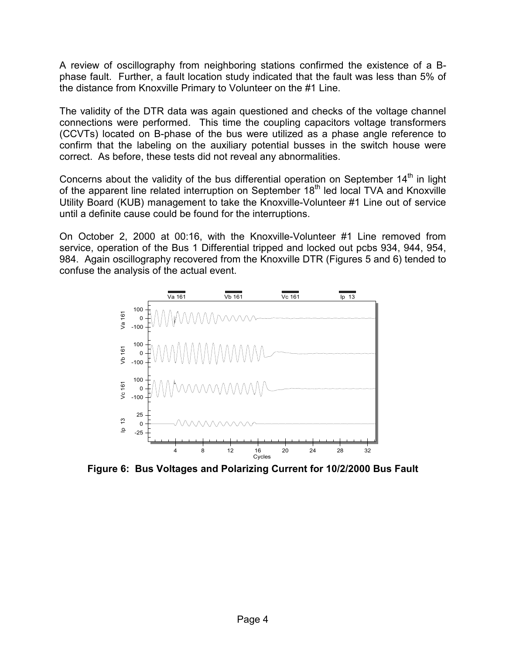A review of oscillography from neighboring stations confirmed the existence of a Bphase fault. Further, a fault location study indicated that the fault was less than 5% of the distance from Knoxville Primary to Volunteer on the #1 Line.

The validity of the DTR data was again questioned and checks of the voltage channel connections were performed. This time the coupling capacitors voltage transformers (CCVTs) located on B-phase of the bus were utilized as a phase angle reference to confirm that the labeling on the auxiliary potential busses in the switch house were correct. As before, these tests did not reveal any abnormalities.

Concerns about the validity of the bus differential operation on September  $14<sup>th</sup>$  in light of the apparent line related interruption on September 18<sup>th</sup> led local TVA and Knoxville Utility Board (KUB) management to take the Knoxville-Volunteer #1 Line out of service until a definite cause could be found for the interruptions.

On October 2, 2000 at 00:16, with the Knoxville-Volunteer #1 Line removed from service, operation of the Bus 1 Differential tripped and locked out pcbs 934, 944, 954, 984. Again oscillography recovered from the Knoxville DTR (Figures 5 and 6) tended to confuse the analysis of the actual event.



**Figure 6: Bus Voltages and Polarizing Current for 10/2/2000 Bus Fault**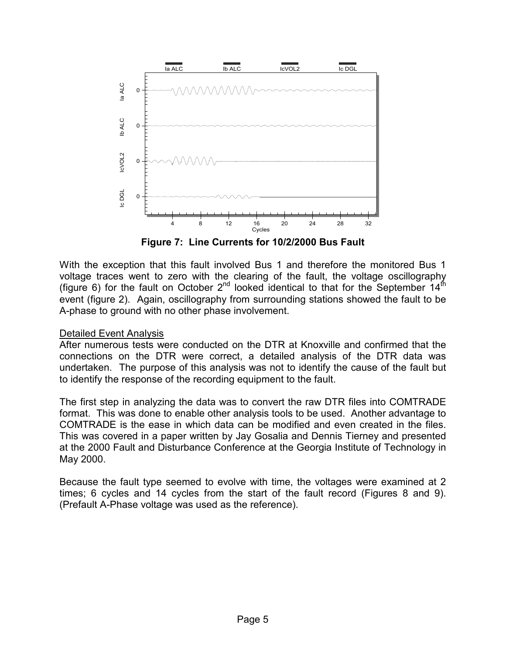

**Figure 7: Line Currents for 10/2/2000 Bus Fault** 

With the exception that this fault involved Bus 1 and therefore the monitored Bus 1 voltage traces went to zero with the clearing of the fault, the voltage oscillography (figure 6) for the fault on October  $2^{nd}$  looked identical to that for the September  $14<sup>th</sup>$ event (figure 2). Again, oscillography from surrounding stations showed the fault to be A-phase to ground with no other phase involvement.

## Detailed Event Analysis

After numerous tests were conducted on the DTR at Knoxville and confirmed that the connections on the DTR were correct, a detailed analysis of the DTR data was undertaken. The purpose of this analysis was not to identify the cause of the fault but to identify the response of the recording equipment to the fault.

The first step in analyzing the data was to convert the raw DTR files into COMTRADE format. This was done to enable other analysis tools to be used. Another advantage to COMTRADE is the ease in which data can be modified and even created in the files. This was covered in a paper written by Jay Gosalia and Dennis Tierney and presented at the 2000 Fault and Disturbance Conference at the Georgia Institute of Technology in May 2000.

Because the fault type seemed to evolve with time, the voltages were examined at 2 times; 6 cycles and 14 cycles from the start of the fault record (Figures 8 and 9). (Prefault A-Phase voltage was used as the reference).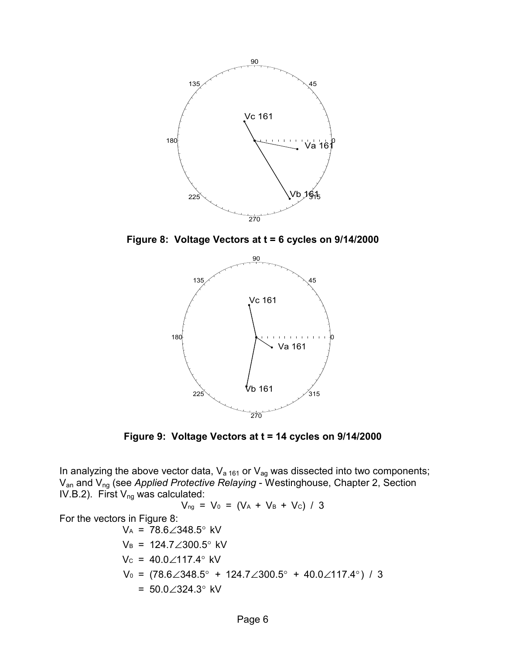

**Figure 8: Voltage Vectors at t = 6 cycles on 9/14/2000** 



**Figure 9: Voltage Vectors at t = 14 cycles on 9/14/2000** 

In analyzing the above vector data,  $V_{a 161}$  or  $V_{ag}$  was dissected into two components; Van and Vng (see *Applied Protective Relaying* - Westinghouse, Chapter 2, Section IV.B.2). First  $V_{ng}$  was calculated:

 $V_{ng} = V_0 = (V_A + V_B + V_C) / 3$ 

For the vectors in Figure 8:

$$
V_A = 78.6\angle 348.5^\circ \text{ kV}
$$
  
\n
$$
V_B = 124.7\angle 300.5^\circ \text{ kV}
$$
  
\n
$$
V_C = 40.0\angle 117.4^\circ \text{ kV}
$$
  
\n
$$
V_0 = (78.6\angle 348.5^\circ + 124.7\angle 300.5^\circ + 40.0\angle 117.4^\circ) / 3
$$
  
\n= 50.0∠324.3° kV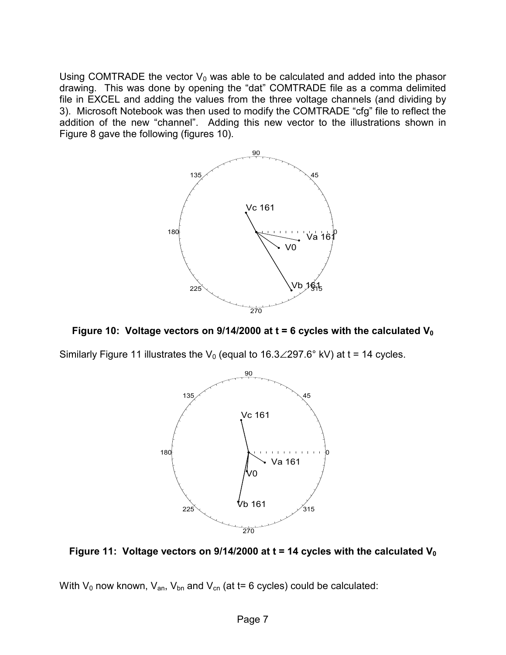Using COMTRADE the vector  $V_0$  was able to be calculated and added into the phasor drawing. This was done by opening the "dat" COMTRADE file as a comma delimited file in EXCEL and adding the values from the three voltage channels (and dividing by 3). Microsoft Notebook was then used to modify the COMTRADE "cfg" file to reflect the addition of the new "channel". Adding this new vector to the illustrations shown in Figure 8 gave the following (figures 10).



Figure 10: Voltage vectors on  $9/14/2000$  at  $t = 6$  cycles with the calculated V<sub>0</sub>

Similarly Figure 11 illustrates the V<sub>0</sub> (equal to 16.3∠297.6° kV) at t = 14 cycles.



Figure 11: Voltage vectors on 9/14/2000 at t = 14 cycles with the calculated V<sub>0</sub>

With  $V_0$  now known,  $V_{an}$ ,  $V_{bn}$  and  $V_{cn}$  (at t= 6 cycles) could be calculated: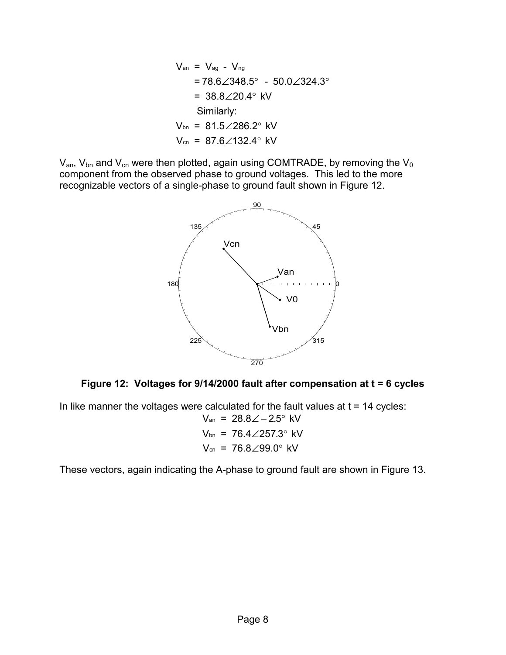$$
V_{an} = V_{ag} - V_{ng}
$$
  
= 78.6∠348.5° - 50.0∠324.3°  
= 38.8∠20.4° kV  
Similarly:  

$$
V_{bn} = 81.5∠286.2° kV
$$
  

$$
V_{cn} = 87.6∠132.4° kV
$$

 $V_{an}$ ,  $V_{bn}$  and  $V_{cn}$  were then plotted, again using COMTRADE, by removing the  $V_0$ component from the observed phase to ground voltages. This led to the more recognizable vectors of a single-phase to ground fault shown in Figure 12.





In like manner the voltages were calculated for the fault values at  $t = 14$  cycles: Van = 28.8∠−2.5° kV  $V_{\text{bn}}$  = 76.4 $\angle$ 257.3° kV

$$
V_{\text{cn}} = 76.8 \angle 99.0^{\circ} \text{ kV}
$$

These vectors, again indicating the A-phase to ground fault are shown in Figure 13.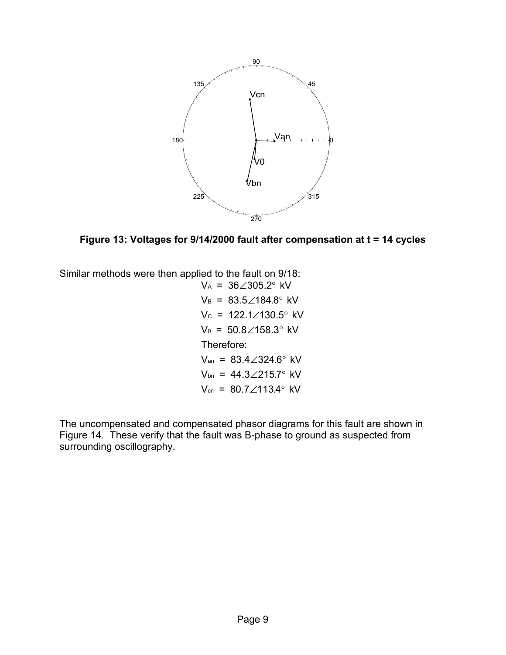

**Figure 13: Voltages for 9/14/2000 fault after compensation at t = 14 cycles** 

Similar methods were then applied to the fault on 9/18:

 $V_A = 36\angle 305.2^\circ$ kV  $V_B$  = 83.5 $\angle$ 184.8 $^{\circ}$  kV  $Vc = 122.1\angle 130.5^{\circ}$  kV  $V_0$  = 50.8 $\angle$ 158.3 $^\circ$  kV Therefore:  $V_{an}$  = 83.4 $\angle$ 324.6° kV  $V_{bn}$  = 44.3 $\angle$ 215.7° kV  $V_{cn}$  = 80.7 $\angle$ 113.4 $^{\circ}$  kV

The uncompensated and compensated phasor diagrams for this fault are shown in Figure 14. These verify that the fault was B-phase to ground as suspected from surrounding oscillography.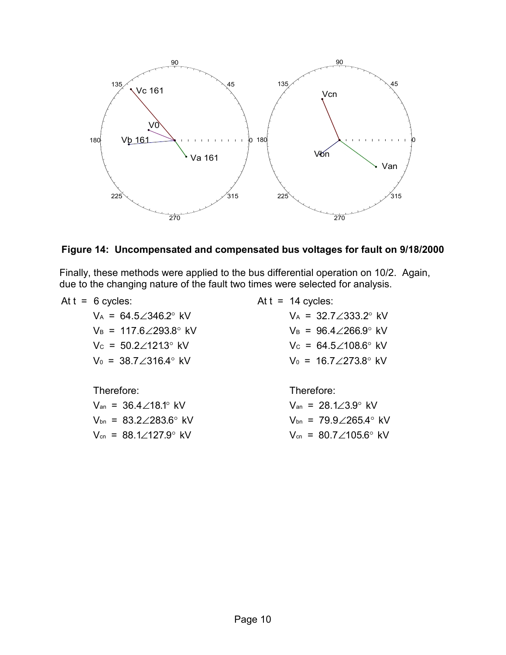

### **Figure 14: Uncompensated and compensated bus voltages for fault on 9/18/2000**

Finally, these methods were applied to the bus differential operation on 10/2. Again, due to the changing nature of the fault two times were selected for analysis.

| At $t = 6$ cycles:                             | At $t = 14$ cycles:                            |
|------------------------------------------------|------------------------------------------------|
| $V_A = 64.5 \angle 346.2^{\circ}$ kV           | $V_A = 32.7 \angle 333.2$ ° kV                 |
| $V_B = 117.6 \angle 293.8^{\circ}$ kV          | $V_B = 96.4 \angle 266.9$ ° kV                 |
| $V_c = 50.2 \angle 121.3$ ° kV                 | $V_c = 64.5 \angle 108.6^{\circ}$ kV           |
| $V_0 = 38.7 \angle 316.4$ ° kV                 | $V_0 = 16.7 \angle 273.8^\circ$ kV             |
| Therefore:                                     | Therefore:                                     |
| $V_{an}$ = 36.4 $\angle$ 18.1° kV              | $V_{an}$ = 28.1 $\angle 3.9^{\circ}$ kV        |
| $V_{\text{bn}} = 83.2 \angle 283.6^{\circ}$ kV | $V_{\text{bn}} = 79.9 \angle 265.4^{\circ}$ kV |

 $V_{\text{cn}} = 88.1\angle 127.9^{\circ} \text{ kV}$ 

 $V_{\text{cn}} = 80.7 \angle 105.6^{\circ} \text{ kV}$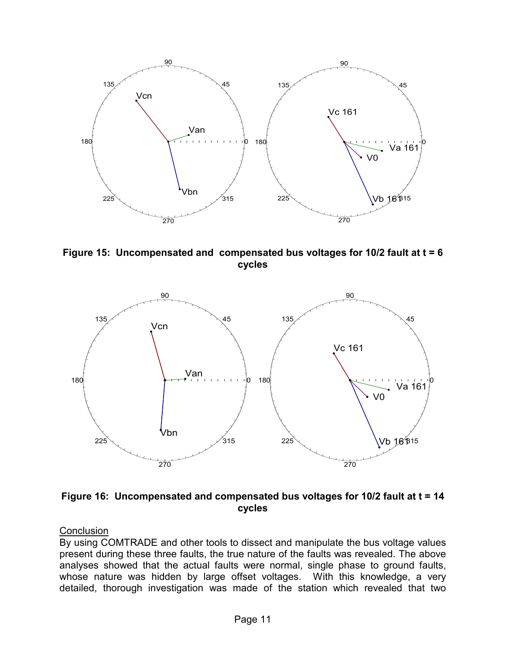

**Figure 15: Uncompensated and compensated bus voltages for 10/2 fault at t = 6 cycles** 



**Figure 16: Uncompensated and compensated bus voltages for 10/2 fault at t = 14 cycles** 

**Conclusion** 

By using COMTRADE and other tools to dissect and manipulate the bus voltage values present during these three faults, the true nature of the faults was revealed. The above analyses showed that the actual faults were normal, single phase to ground faults, whose nature was hidden by large offset voltages. With this knowledge, a very detailed, thorough investigation was made of the station which revealed that two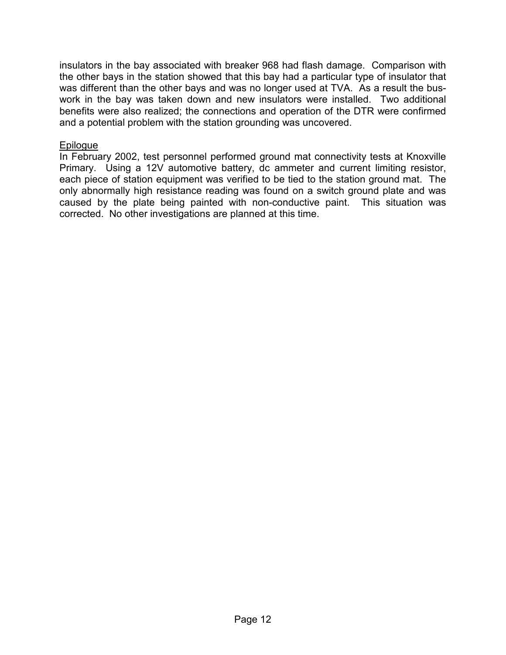insulators in the bay associated with breaker 968 had flash damage. Comparison with the other bays in the station showed that this bay had a particular type of insulator that was different than the other bays and was no longer used at TVA. As a result the buswork in the bay was taken down and new insulators were installed. Two additional benefits were also realized; the connections and operation of the DTR were confirmed and a potential problem with the station grounding was uncovered.

#### Epilogue

In February 2002, test personnel performed ground mat connectivity tests at Knoxville Primary. Using a 12V automotive battery, dc ammeter and current limiting resistor, each piece of station equipment was verified to be tied to the station ground mat. The only abnormally high resistance reading was found on a switch ground plate and was caused by the plate being painted with non-conductive paint. This situation was corrected. No other investigations are planned at this time.